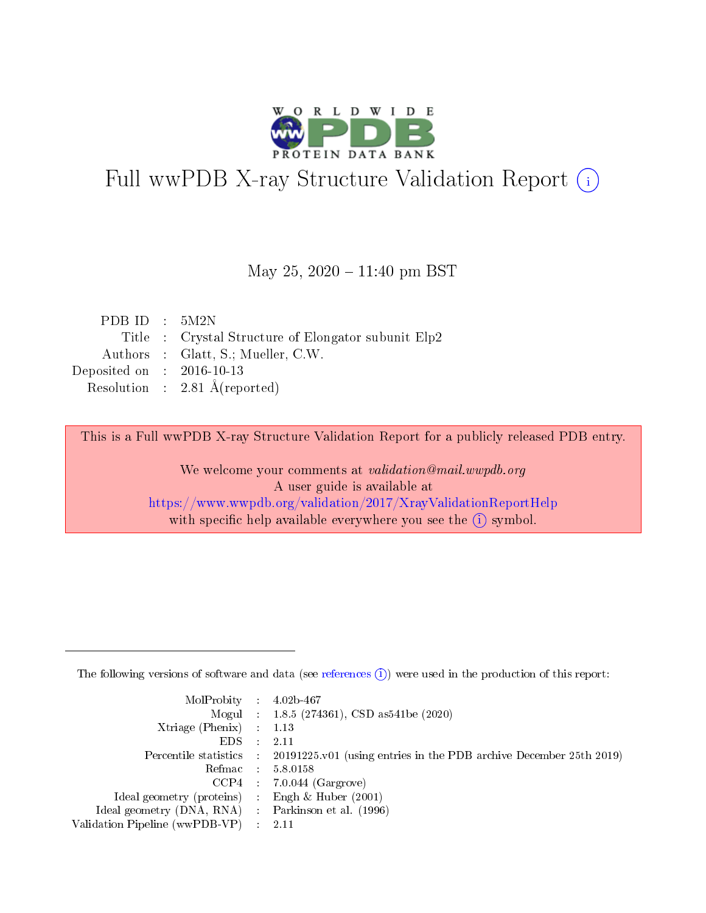

# Full wwPDB X-ray Structure Validation Report (i)

#### May 25,  $2020 - 11:40$  pm BST

| PDB ID : $5M2N$             |                                                     |
|-----------------------------|-----------------------------------------------------|
|                             | Title : Crystal Structure of Elongator subunit Elp2 |
|                             | Authors : Glatt, S.; Mueller, C.W.                  |
| Deposited on : $2016-10-13$ |                                                     |
|                             | Resolution : $2.81 \text{ Å}$ (reported)            |

This is a Full wwPDB X-ray Structure Validation Report for a publicly released PDB entry.

We welcome your comments at validation@mail.wwpdb.org A user guide is available at <https://www.wwpdb.org/validation/2017/XrayValidationReportHelp> with specific help available everywhere you see the  $(i)$  symbol.

The following versions of software and data (see [references](https://www.wwpdb.org/validation/2017/XrayValidationReportHelp#references)  $(1)$ ) were used in the production of this report:

| $MolProbability$ : 4.02b-467                        |                                                                                            |
|-----------------------------------------------------|--------------------------------------------------------------------------------------------|
|                                                     | Mogul : $1.8.5$ (274361), CSD as 541be (2020)                                              |
| Xtriage (Phenix) $: 1.13$                           |                                                                                            |
| EDS                                                 | -2.11                                                                                      |
|                                                     | Percentile statistics : 20191225.v01 (using entries in the PDB archive December 25th 2019) |
| Refmac 58.0158                                      |                                                                                            |
|                                                     | $CCP4$ 7.0.044 (Gargrove)                                                                  |
| Ideal geometry (proteins) : Engh $\&$ Huber (2001)  |                                                                                            |
| Ideal geometry (DNA, RNA) : Parkinson et al. (1996) |                                                                                            |
| Validation Pipeline (wwPDB-VP) : 2.11               |                                                                                            |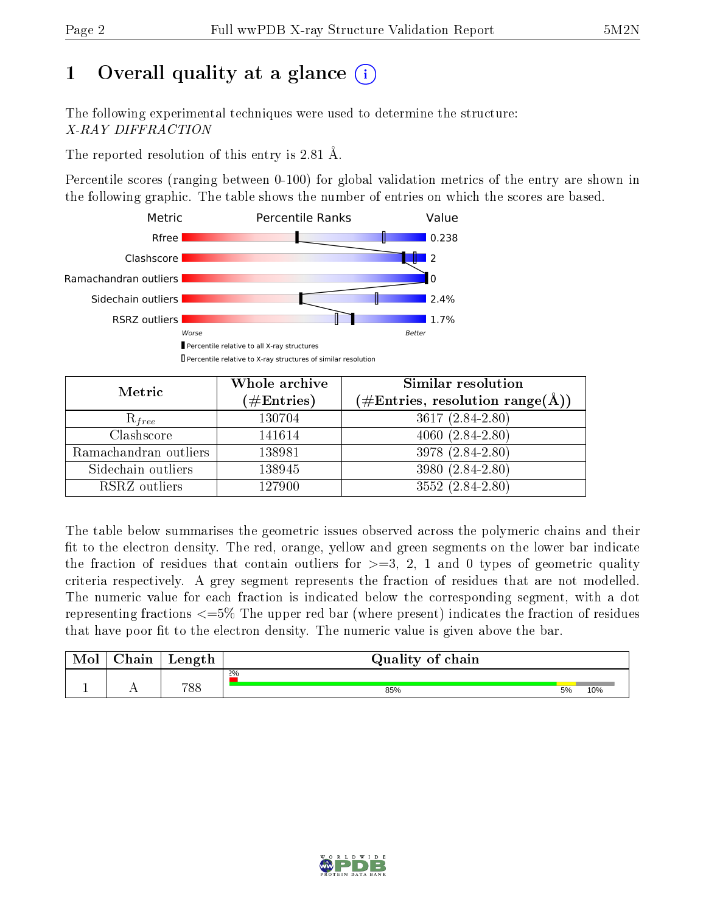## 1 [O](https://www.wwpdb.org/validation/2017/XrayValidationReportHelp#overall_quality)verall quality at a glance  $(i)$

The following experimental techniques were used to determine the structure: X-RAY DIFFRACTION

The reported resolution of this entry is 2.81 Å.

Percentile scores (ranging between 0-100) for global validation metrics of the entry are shown in the following graphic. The table shows the number of entries on which the scores are based.



| Metric                | Whole archive<br>$(\#\mathrm{Entries})$ | Similar resolution<br>$(\#\text{Entries}, \text{resolution range}(\textup{\AA}))$ |
|-----------------------|-----------------------------------------|-----------------------------------------------------------------------------------|
| $R_{free}$            | 130704                                  | 3617 (2.84-2.80)                                                                  |
| Clashscore            | 141614                                  | $4060(2.84-2.80)$                                                                 |
| Ramachandran outliers | 138981                                  | $3978(2.84-2.80)$                                                                 |
| Sidechain outliers    | 138945                                  | 3980 (2.84-2.80)                                                                  |
| RSRZ outliers         | 127900                                  | 3552 (2.84-2.80)                                                                  |

The table below summarises the geometric issues observed across the polymeric chains and their fit to the electron density. The red, orange, yellow and green segments on the lower bar indicate the fraction of residues that contain outliers for  $>=3, 2, 1$  and 0 types of geometric quality criteria respectively. A grey segment represents the fraction of residues that are not modelled. The numeric value for each fraction is indicated below the corresponding segment, with a dot representing fractions <=5% The upper red bar (where present) indicates the fraction of residues that have poor fit to the electron density. The numeric value is given above the bar.

| Mol | $\cap$ hain | Length | Quality of chain |    |     |
|-----|-------------|--------|------------------|----|-----|
|     |             |        | $2\%$            |    |     |
|     |             | 788    | 85%              | 5% | 10% |

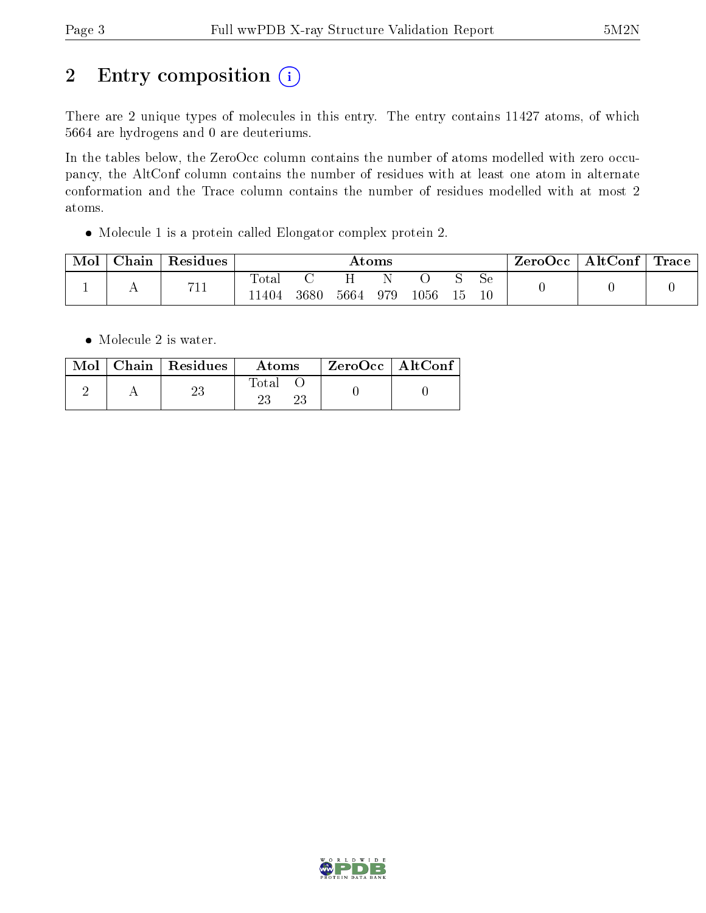# 2 Entry composition (i)

There are 2 unique types of molecules in this entry. The entry contains 11427 atoms, of which 5664 are hydrogens and 0 are deuteriums.

In the tables below, the ZeroOcc column contains the number of atoms modelled with zero occupancy, the AltConf column contains the number of residues with at least one atom in alternate conformation and the Trace column contains the number of residues modelled with at most 2 atoms.

Molecule 1 is a protein called Elongator complex protein 2.

| Mol | Chain        | Residues               | $\rm\bf Atoms$ |      |      |     | ZeroOcc  | $\mid$ AltConf $\mid$ Trace |          |  |  |  |
|-----|--------------|------------------------|----------------|------|------|-----|----------|-----------------------------|----------|--|--|--|
|     | $\mathbf{L}$ | 711<br>$\overline{11}$ | Total<br>1404  | 3680 | 5664 | 979 | $1056\,$ | - Lb                        | Se<br>10 |  |  |  |

• Molecule 2 is water.

|  | $\text{Mol}$   Chain   Residues | Atoms | ' ZeroOcc   AltConf |  |
|--|---------------------------------|-------|---------------------|--|
|  |                                 | Total |                     |  |

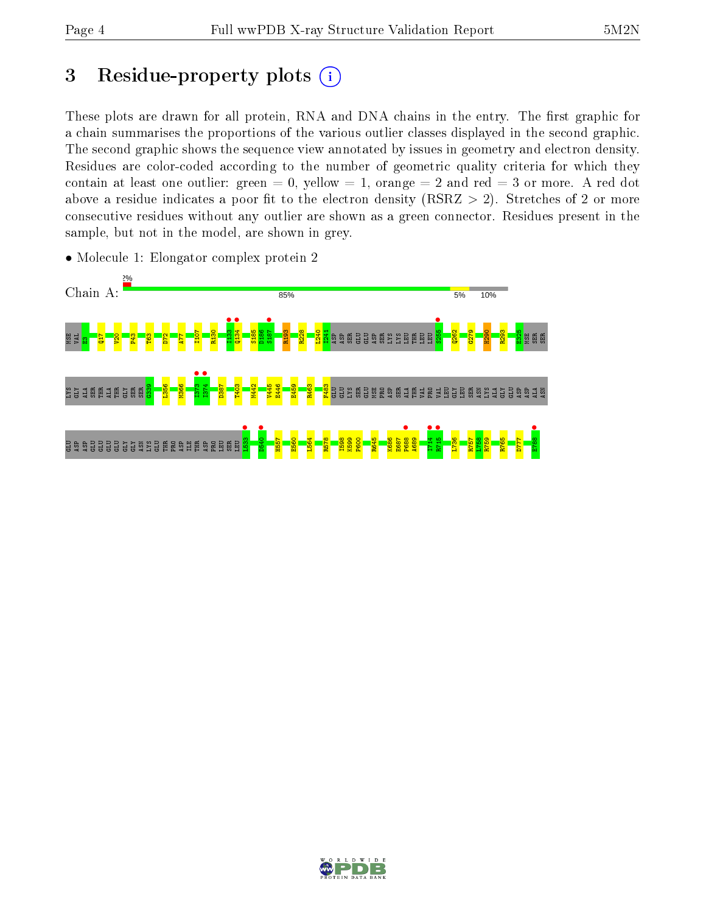## 3 Residue-property plots  $(i)$

These plots are drawn for all protein, RNA and DNA chains in the entry. The first graphic for a chain summarises the proportions of the various outlier classes displayed in the second graphic. The second graphic shows the sequence view annotated by issues in geometry and electron density. Residues are color-coded according to the number of geometric quality criteria for which they contain at least one outlier: green  $= 0$ , yellow  $= 1$ , orange  $= 2$  and red  $= 3$  or more. A red dot above a residue indicates a poor fit to the electron density (RSRZ  $> 2$ ). Stretches of 2 or more consecutive residues without any outlier are shown as a green connector. Residues present in the sample, but not in the model, are shown in grey.



• Molecule 1: Elongator complex protein 2

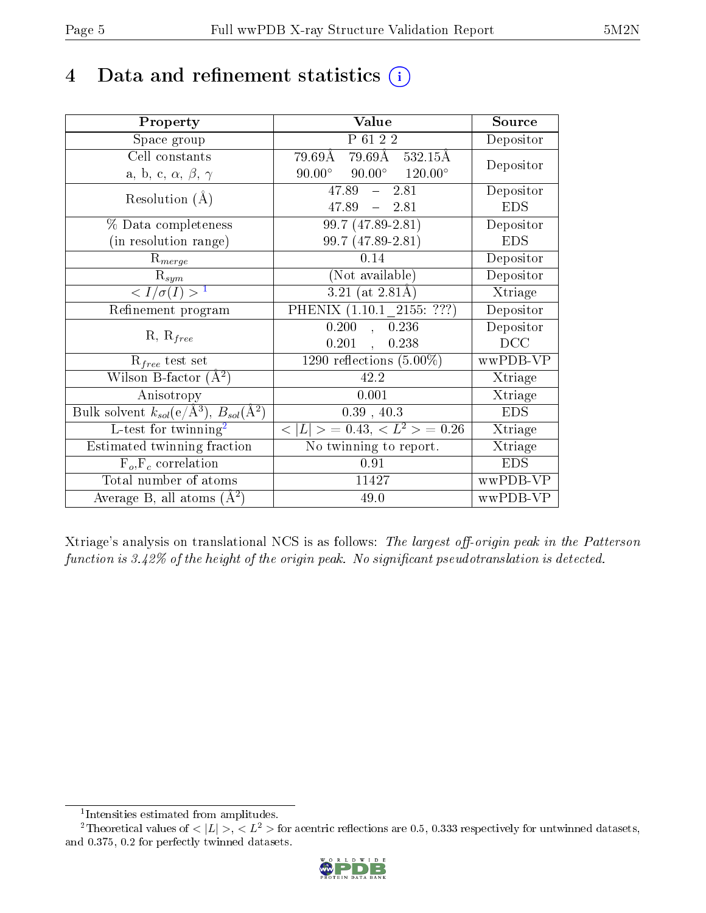## 4 Data and refinement statistics  $(i)$

| Property                                                                 | Value                                            | Source     |
|--------------------------------------------------------------------------|--------------------------------------------------|------------|
| Space group                                                              | P 61 2 2                                         | Depositor  |
| Cell constants                                                           | 79.69Å 79.69Å 532.15Å                            | Depositor  |
| a, b, c, $\alpha$ , $\beta$ , $\gamma$                                   | $90.00^{\circ}$ $90.00^{\circ}$ $120.00^{\circ}$ |            |
| Resolution $(A)$                                                         | $47.89 - 2.81$                                   | Depositor  |
|                                                                          | 47.89<br>$-2.81$                                 | <b>EDS</b> |
| % Data completeness                                                      | 99.7 (47.89-2.81)                                | Depositor  |
| (in resolution range)                                                    | 99.7 (47.89-2.81)                                | <b>EDS</b> |
| $R_{merge}$                                                              | 0.14                                             | Depositor  |
| $\mathrm{R}_{sym}$                                                       | (Not available)                                  | Depositor  |
| $\langle I/\sigma(I) \rangle^{-1}$                                       | $3.21$ (at 2.81Å)                                | Xtriage    |
| Refinement program                                                       | PHENIX (1.10.1 2155: ???)                        | Depositor  |
|                                                                          | 0.200<br>0.236<br>$\mathcal{A}^{\pm}$            | Depositor  |
| $R, R_{free}$                                                            | 0.201<br>0.238                                   | DCC        |
| $R_{free}$ test set                                                      | 1290 reflections $(5.00\%)$                      | wwPDB-VP   |
| Wilson B-factor $(A^2)$                                                  | 42.2                                             | Xtriage    |
| Anisotropy                                                               | 0.001                                            | Xtriage    |
| Bulk solvent $k_{sol}(\mathrm{e}/\mathrm{A}^3),$ $B_{sol}(\mathrm{A}^2)$ | 0.39, 40.3                                       | <b>EDS</b> |
| L-test for twinning <sup>2</sup>                                         | $< L >$ = 0.43, $< L^2 >$ = 0.26                 | Xtriage    |
| Estimated twinning fraction                                              | No twinning to report.                           | Xtriage    |
| $F_o, F_c$ correlation                                                   | 0.91                                             | <b>EDS</b> |
| Total number of atoms                                                    | 11427                                            | wwPDB-VP   |
| Average B, all atoms $(A^2)$                                             | 49.0                                             | wwPDB-VP   |

Xtriage's analysis on translational NCS is as follows: The largest off-origin peak in the Patterson function is  $3.42\%$  of the height of the origin peak. No significant pseudotranslation is detected.

<sup>&</sup>lt;sup>2</sup>Theoretical values of  $\langle |L| \rangle$ ,  $\langle L^2 \rangle$  for acentric reflections are 0.5, 0.333 respectively for untwinned datasets, and 0.375, 0.2 for perfectly twinned datasets.



<span id="page-4-1"></span><span id="page-4-0"></span><sup>1</sup> Intensities estimated from amplitudes.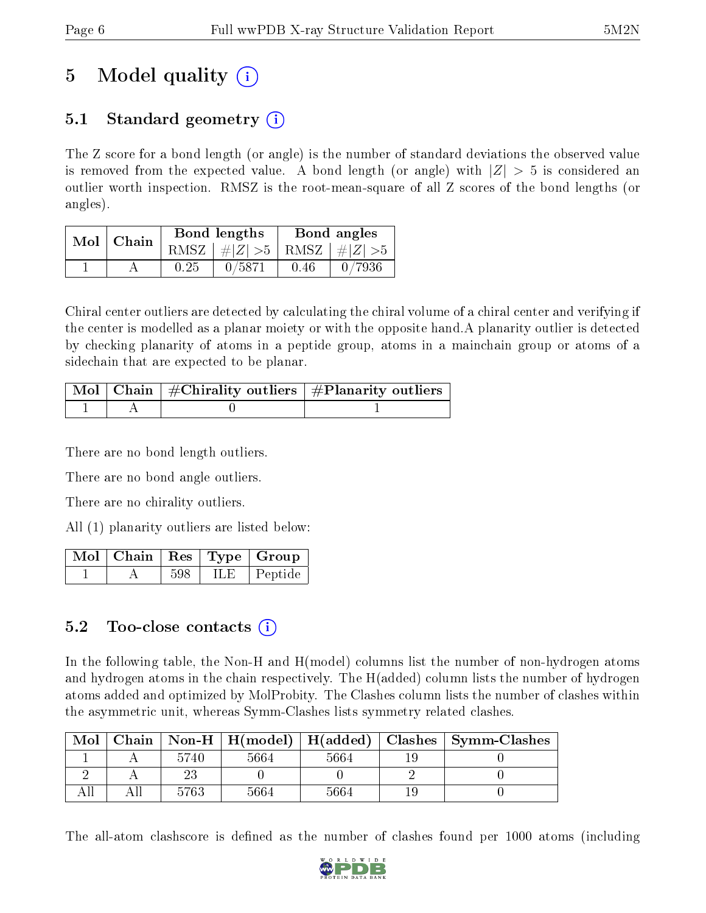## 5 Model quality  $(i)$

## 5.1 Standard geometry (i)

The Z score for a bond length (or angle) is the number of standard deviations the observed value is removed from the expected value. A bond length (or angle) with  $|Z| > 5$  is considered an outlier worth inspection. RMSZ is the root-mean-square of all Z scores of the bond lengths (or angles).

| Mol | Chain |      | Bond lengths                 | Bond angles |        |  |
|-----|-------|------|------------------------------|-------------|--------|--|
|     |       | RMSZ | # $ Z  > 5$ RMSZ $ H Z  > 5$ |             |        |  |
|     |       | 0.25 | 0/5871                       | 0.46        | 0/7936 |  |

Chiral center outliers are detected by calculating the chiral volume of a chiral center and verifying if the center is modelled as a planar moiety or with the opposite hand.A planarity outlier is detected by checking planarity of atoms in a peptide group, atoms in a mainchain group or atoms of a sidechain that are expected to be planar.

|  | Mol   Chain   #Chirality outliers   #Planarity outliers |
|--|---------------------------------------------------------|
|  |                                                         |

There are no bond length outliers.

There are no bond angle outliers.

There are no chirality outliers.

All (1) planarity outliers are listed below:

|  |     |      | $\lceil\,\mathrm{Mol}\,\rceil$ Chain $\mid\mathrm{Res}\mid\mathrm{Type}\mid\mathrm{Group}\rangle$ |
|--|-----|------|---------------------------------------------------------------------------------------------------|
|  | 598 | ILE. | ' Peptide                                                                                         |

### $5.2$  Too-close contacts  $(i)$

In the following table, the Non-H and H(model) columns list the number of non-hydrogen atoms and hydrogen atoms in the chain respectively. The H(added) column lists the number of hydrogen atoms added and optimized by MolProbity. The Clashes column lists the number of clashes within the asymmetric unit, whereas Symm-Clashes lists symmetry related clashes.

| Mol |      |      |      | Chain   Non-H   H(model)   H(added)   Clashes   Symm-Clashes |
|-----|------|------|------|--------------------------------------------------------------|
|     | 5740 | 5664 | 5664 |                                                              |
|     |      |      |      |                                                              |
|     | 5763 | 5664 | 5664 |                                                              |

The all-atom clashscore is defined as the number of clashes found per 1000 atoms (including

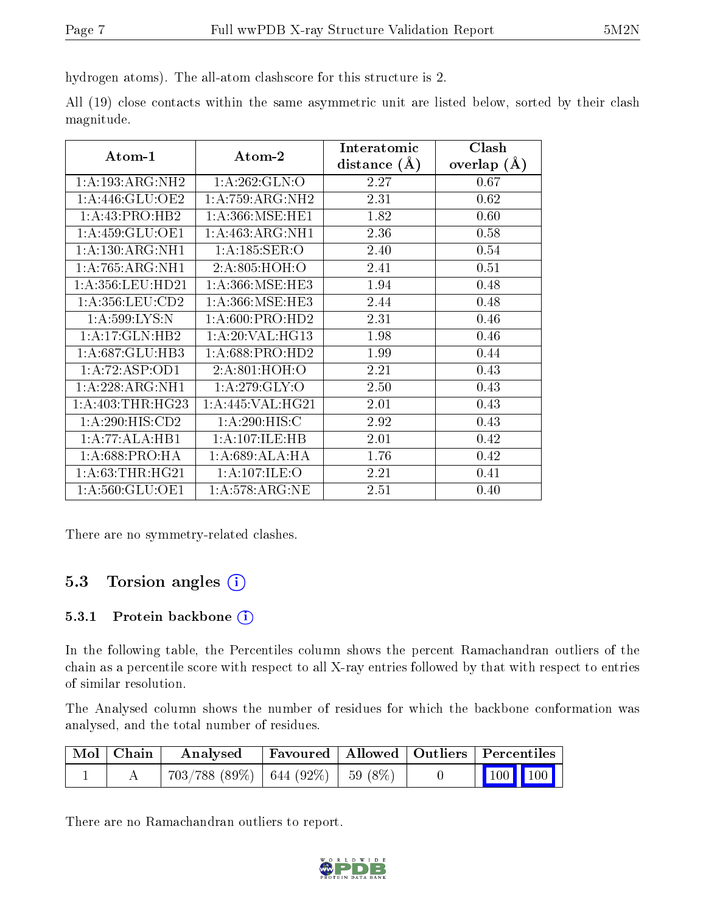hydrogen atoms). The all-atom clashscore for this structure is 2.

All (19) close contacts within the same asymmetric unit are listed below, sorted by their clash magnitude.

|                     |                    | Interatomic      | Clash         |
|---------------------|--------------------|------------------|---------------|
| Atom-1              | Atom-2             | distance $(\AA)$ | overlap $(A)$ |
| 1:A:193:ARG:NH2     | 1: A:262: GLN:O    | 2.27             | 0.67          |
| 1: A:446: GLU:OE2   | 1:A:759:ARG:NH2    | 2.31             | 0.62          |
| 1:A:43:PRO:HB2      | 1: A:366:MSE:HE1   | 1.82             | 0.60          |
| 1: A:459: GLU:OE1   | 1:A:463:ARG:NH1    | 2.36             | 0.58          |
| 1:A:130:ARG:NH1     | 1:A:185:SER:O      | 2.40             | 0.54          |
| 1: A:765: ARG:NH1   | 2:A:805:HOH:O      | 2.41             | 0.51          |
| 1: A:356:LEU:HD21   | 1: A:366: MSE:HE3  | 1.94             | 0.48          |
| 1: A: 356: LEU: CD2 | 1:A:366:MSE:HE3    | 2.44             | 0.48          |
| 1: A:599: LYS:N     | 1: A:600: PRO:HD2  | 2.31             | 0.46          |
| 1: A:17: GLN:HB2    | 1: A:20:VAL:HG13   | 1.98             | 0.46          |
| 1:A:687:GLU:HB3     | 1: A:688: PRO:HD2  | 1.99             | 0.44          |
| 1:A:72:ASP:OD1      | 2:A:801:HOH:O      | 2.21             | 0.43          |
| 1:A:228:ARG:NH1     | 1:A:279:GLY:O      | 2.50             | 0.43          |
| 1: A:403:THR:HG23   | 1:A:445:VAL:HG21   | 2.01             | 0.43          |
| 1:A:290:HIS:CD2     | 1: A:290: HIS: C   | 2.92             | 0.43          |
| 1:A:77:ALA:HB1      | 1: A: 107: ILE: HB | 2.01             | 0.42          |
| 1:A:688:PRO:HA      | 1:A:689:ALA:HA     | 1.76             | 0.42          |
| 1: A:63:THR:HG21    | 1: A: 107: ILE: O  | 2.21             | 0.41          |
| 1:A:560:GLU:OE1     | 1: A:578: ARG: NE  | 2.51             | 0.40          |

There are no symmetry-related clashes.

### 5.3 Torsion angles (i)

#### 5.3.1 Protein backbone (i)

In the following table, the Percentiles column shows the percent Ramachandran outliers of the chain as a percentile score with respect to all X-ray entries followed by that with respect to entries of similar resolution.

The Analysed column shows the number of residues for which the backbone conformation was analysed, and the total number of residues.

| Mol   Chain | $\boldsymbol{\mathrm{Analysed}}$         |  | Favoured   Allowed   Outliers   Percentiles |
|-------------|------------------------------------------|--|---------------------------------------------|
|             | $703/788$ (89\%)   644 (92\%)   59 (8\%) |  | $\vert$ 100 100 $\vert$                     |

There are no Ramachandran outliers to report.

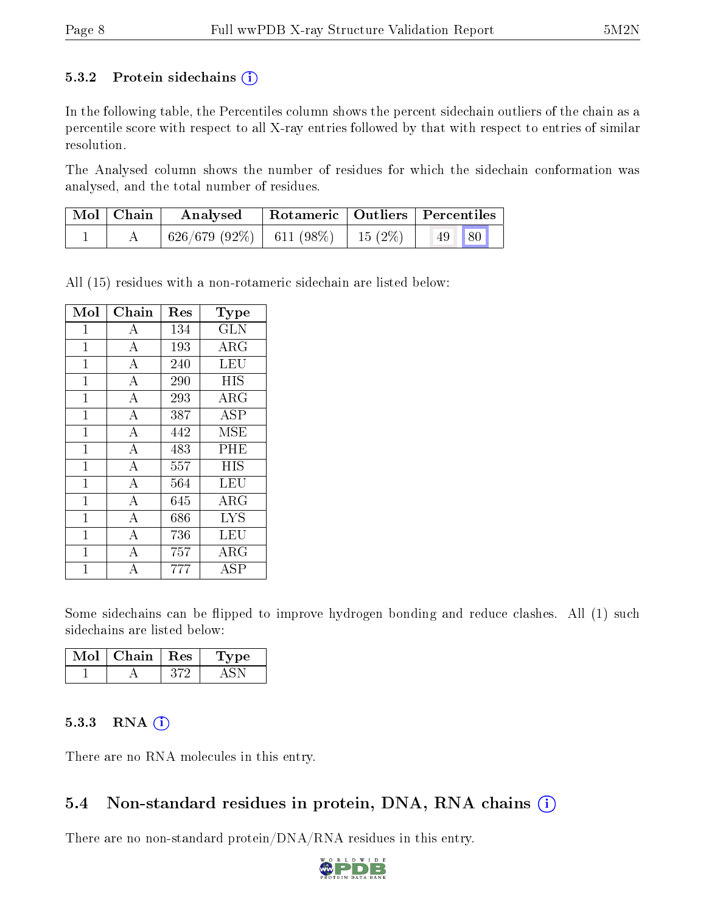#### 5.3.2 Protein sidechains  $(i)$

In the following table, the Percentiles column shows the percent sidechain outliers of the chain as a percentile score with respect to all X-ray entries followed by that with respect to entries of similar resolution.

The Analysed column shows the number of residues for which the sidechain conformation was analysed, and the total number of residues.

| $\mid$ Mol $\mid$ Chain | Analysed                                 |  | Rotameric   Outliers   Percentiles |  |
|-------------------------|------------------------------------------|--|------------------------------------|--|
|                         | $626/679$ (92\%)   611 (98\%)   15 (2\%) |  | 49 80                              |  |

All (15) residues with a non-rotameric sidechain are listed below:

| Mol          | Chain              | Res | Type                    |
|--------------|--------------------|-----|-------------------------|
| $\mathbf{1}$ | A                  | 134 | $\overline{\text{GLN}}$ |
| $\mathbf{1}$ | $\overline{\rm A}$ | 193 | $\rm{ARG}$              |
| $\mathbf{1}$ | $\overline{A}$     | 240 | <b>LEU</b>              |
| $\mathbf{1}$ | $\bf{A}$           | 290 | <b>HIS</b>              |
| $\mathbf{1}$ | $\overline{\rm A}$ | 293 | $\rm\overline{A}RG$     |
| $\mathbf{1}$ | $\overline{\rm A}$ | 387 | <b>ASP</b>              |
| $\mathbf{1}$ | $\overline{\rm A}$ | 442 | <b>MSE</b>              |
| $\mathbf{1}$ | $\overline{A}$     | 483 | PHE                     |
| $\mathbf{1}$ | $\overline{A}$     | 557 | <b>HIS</b>              |
| $\mathbf{1}$ | $\overline{A}$     | 564 | LEU                     |
| $\mathbf{1}$ | $\overline{A}$     | 645 | $\rm{ARG}$              |
| $\mathbf{1}$ | $\overline{\rm A}$ | 686 | <b>LYS</b>              |
| $\mathbf{1}$ | $\boldsymbol{A}$   | 736 | LEU                     |
| $\mathbf{1}$ | $\overline{\rm A}$ | 757 | $\rm \bar{A}RG$         |
| 1            | А                  | 777 | ASP                     |

Some sidechains can be flipped to improve hydrogen bonding and reduce clashes. All (1) such sidechains are listed below:

| Chain | . Res | vpe |
|-------|-------|-----|
|       |       |     |

#### 5.3.3 RNA (i)

There are no RNA molecules in this entry.

#### 5.4 Non-standard residues in protein, DNA, RNA chains  $(i)$

There are no non-standard protein/DNA/RNA residues in this entry.

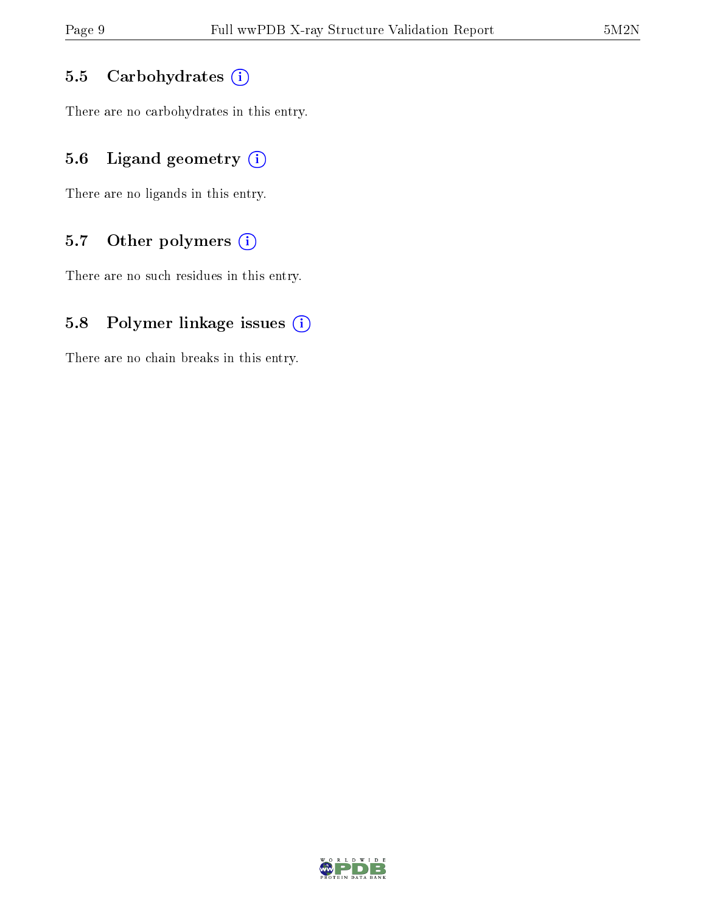#### 5.5 Carbohydrates  $(i)$

There are no carbohydrates in this entry.

### 5.6 Ligand geometry  $(i)$

There are no ligands in this entry.

### 5.7 [O](https://www.wwpdb.org/validation/2017/XrayValidationReportHelp#nonstandard_residues_and_ligands)ther polymers  $(i)$

There are no such residues in this entry.

### 5.8 Polymer linkage issues  $(i)$

There are no chain breaks in this entry.

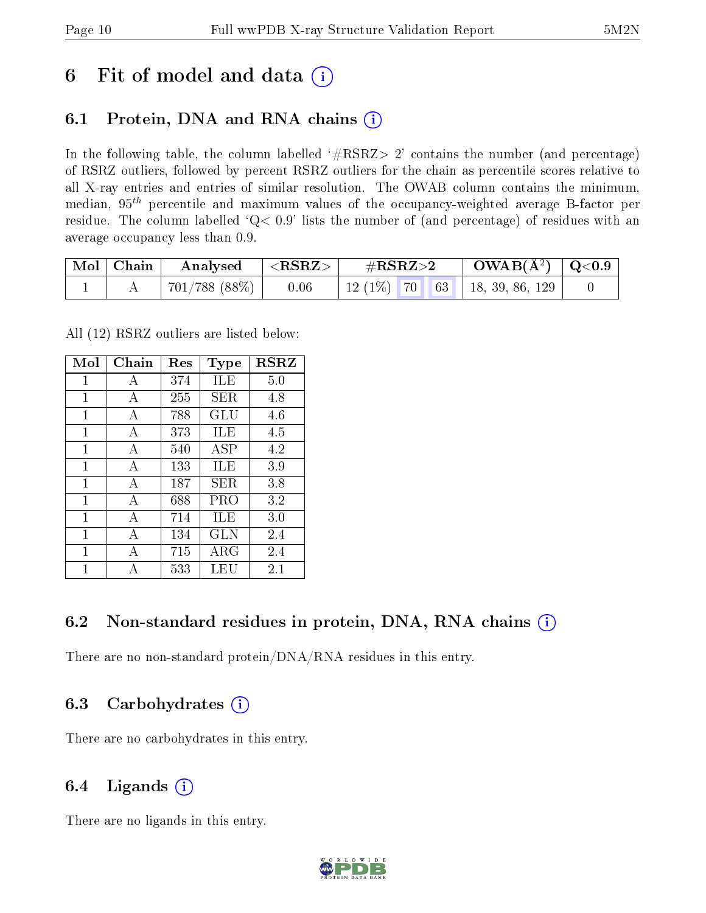## 6 Fit of model and data  $(i)$

## 6.1 Protein, DNA and RNA chains (i)

In the following table, the column labelled  $#RSRZ> 2'$  contains the number (and percentage) of RSRZ outliers, followed by percent RSRZ outliers for the chain as percentile scores relative to all X-ray entries and entries of similar resolution. The OWAB column contains the minimum, median,  $95<sup>th</sup>$  percentile and maximum values of the occupancy-weighted average B-factor per residue. The column labelled  $Q< 0.9$  lists the number of (and percentage) of residues with an average occupancy less than 0.9.

| $\mid$ Mol $\mid$ Chain | Analysed                                                            | $ \langle \mathrm{RSRZ}\rangle $ | $\#\text{RSRZ}\text{>2}$ |  | $\text{OWAB}(\AA^2) \mid \text{Q}<0.9$ |  |
|-------------------------|---------------------------------------------------------------------|----------------------------------|--------------------------|--|----------------------------------------|--|
|                         | $\begin{array}{ c c c c c c c c } \hline \end{array}$ 701/788 (88%) | 0.06                             |                          |  | 12 (1%)   70   63   18, 39, 86, 129    |  |

All (12) RSRZ outliers are listed below:

| Mol | Chain        | $\operatorname{Res}% \left( \mathcal{N}\right) \equiv\operatorname{Res}(\mathcal{N}_{0})\cap\mathcal{N}_{1}$ | Type        | <b>RSRZ</b> |
|-----|--------------|--------------------------------------------------------------------------------------------------------------|-------------|-------------|
| 1   | A            | 374                                                                                                          | ILE         | 5.0         |
| 1   | A            | 255                                                                                                          | SER.        | 4.8         |
| 1   | A            | 788                                                                                                          | GLU         | 4.6         |
| 1   | А            | 373                                                                                                          | ILE         | 4.5         |
| 1   | A            | 540                                                                                                          | ASP         | 4.2         |
| 1   | А            | 133                                                                                                          | ILE         | 3.9         |
| 1   | $\mathbf{A}$ | 187                                                                                                          | <b>SER</b>  | 3.8         |
| 1   | A            | 688                                                                                                          | PRO         | 3.2         |
| 1   | А            | 714                                                                                                          | ILE         | 3.0         |
| 1   | А            | 134                                                                                                          | GLN         | 2.4         |
| 1   | А            | 715                                                                                                          | ${\rm ARG}$ | 2.4         |
| 1   |              | 533                                                                                                          | LEU         | 2.1         |

### 6.2 Non-standard residues in protein, DNA, RNA chains  $(i)$

There are no non-standard protein/DNA/RNA residues in this entry.

### 6.3 Carbohydrates  $(i)$

There are no carbohydrates in this entry.

### 6.4 Ligands  $(i)$

There are no ligands in this entry.